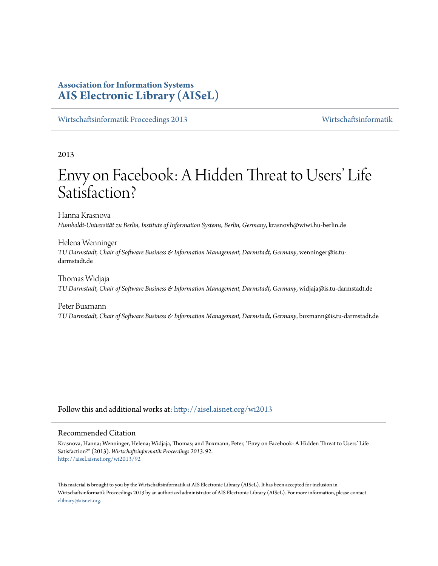# **Association for Information Systems [AIS Electronic Library \(AISeL\)](http://aisel.aisnet.org?utm_source=aisel.aisnet.org%2Fwi2013%2F92&utm_medium=PDF&utm_campaign=PDFCoverPages)**

[Wirtschaftsinformatik Proceedings 2013](http://aisel.aisnet.org/wi2013?utm_source=aisel.aisnet.org%2Fwi2013%2F92&utm_medium=PDF&utm_campaign=PDFCoverPages) [Wirtschaftsinformatik](http://aisel.aisnet.org/wi?utm_source=aisel.aisnet.org%2Fwi2013%2F92&utm_medium=PDF&utm_campaign=PDFCoverPages)

2013

# Envy on Facebook: A Hidden Threat to Users' Life Satisfaction?

Hanna Krasnova *Humboldt-Universität zu Berlin, Institute of Information Systems, Berlin, Germany*, krasnovh@wiwi.hu-berlin.de

Helena Wenninger *TU Darmstadt, Chair of Software Business & Information Management, Darmstadt, Germany*, wenninger@is.tudarmstadt.de

Thomas Widjaja *TU Darmstadt, Chair of Software Business & Information Management, Darmstadt, Germany*, widjaja@is.tu-darmstadt.de

Peter Buxmann *TU Darmstadt, Chair of Software Business & Information Management, Darmstadt, Germany*, buxmann@is.tu-darmstadt.de

Follow this and additional works at: [http://aisel.aisnet.org/wi2013](http://aisel.aisnet.org/wi2013?utm_source=aisel.aisnet.org%2Fwi2013%2F92&utm_medium=PDF&utm_campaign=PDFCoverPages)

## Recommended Citation

Krasnova, Hanna; Wenninger, Helena; Widjaja, Thomas; and Buxmann, Peter, "Envy on Facebook: A Hidden Threat to Users' Life Satisfaction?" (2013). *Wirtschaftsinformatik Proceedings 2013*. 92. [http://aisel.aisnet.org/wi2013/92](http://aisel.aisnet.org/wi2013/92?utm_source=aisel.aisnet.org%2Fwi2013%2F92&utm_medium=PDF&utm_campaign=PDFCoverPages)

This material is brought to you by the Wirtschaftsinformatik at AIS Electronic Library (AISeL). It has been accepted for inclusion in Wirtschaftsinformatik Proceedings 2013 by an authorized administrator of AIS Electronic Library (AISeL). For more information, please contact [elibrary@aisnet.org.](mailto:elibrary@aisnet.org%3E)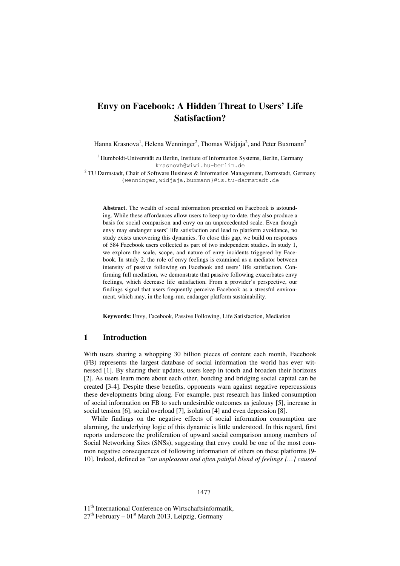# **Envy on Facebook: A Hidden Threat to Users' Life Satisfaction?**

Hanna Krasnova<sup>1</sup>, Helena Wenninger<sup>2</sup>, Thomas Widjaja<sup>2</sup>, and Peter Buxmann<sup>2</sup>

<sup>1</sup> Humboldt-Universität zu Berlin, Institute of Information Systems, Berlin, Germany krasnovh@wiwi.hu-berlin.de

 $2$  TU Darmstadt, Chair of Software Business & Information Management, Darmstadt, Germany {wenninger,widjaja,buxmann}@is.tu-darmstadt.de

**Abstract.** The wealth of social information presented on Facebook is astounding. While these affordances allow users to keep up-to-date, they also produce a basis for social comparison and envy on an unprecedented scale. Even though envy may endanger users' life satisfaction and lead to platform avoidance, no study exists uncovering this dynamics. To close this gap, we build on responses of 584 Facebook users collected as part of two independent studies. In study 1, we explore the scale, scope, and nature of envy incidents triggered by Facebook. In study 2, the role of envy feelings is examined as a mediator between intensity of passive following on Facebook and users' life satisfaction. Confirming full mediation, we demonstrate that passive following exacerbates envy feelings, which decrease life satisfaction. From a provider's perspective, our findings signal that users frequently perceive Facebook as a stressful environment, which may, in the long-run, endanger platform sustainability.

**Keywords:** Envy, Facebook, Passive Following, Life Satisfaction, Mediation

#### **1 Introduction**

With users sharing a whopping 30 billion pieces of content each month, Facebook (FB) represents the largest database of social information the world has ever witnessed [1]. By sharing their updates, users keep in touch and broaden their horizons [2]. As users learn more about each other, bonding and bridging social capital can be created [3-4]. Despite these benefits, opponents warn against negative repercussions these developments bring along. For example, past research has linked consumption of social information on FB to such undesirable outcomes as jealousy [5], increase in social tension [6], social overload [7], isolation [4] and even depression [8].

While findings on the negative effects of social information consumption are alarming, the underlying logic of this dynamic is little understood. In this regard, first reports underscore the proliferation of upward social comparison among members of Social Networking Sites (SNSs), suggesting that envy could be one of the most common negative consequences of following information of others on these platforms [9- 10]. Indeed, defined as "*an unpleasant and often painful blend of feelings […] caused* 

#### 1477

11<sup>th</sup> International Conference on Wirtschaftsinformatik,  $27<sup>th</sup>$  February –  $01<sup>st</sup>$  March 2013, Leipzig, Germany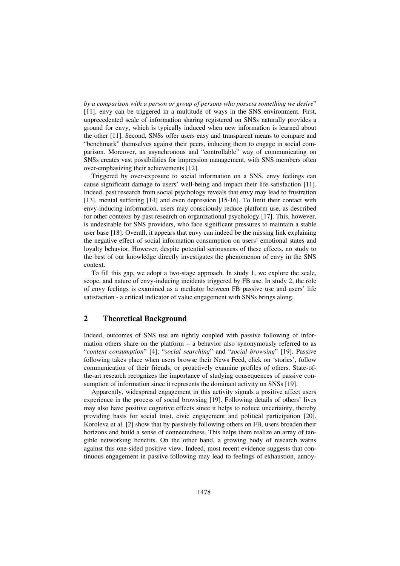*by a comparison with a person or group of persons who possess something we desire*" [11], envy can be triggered in a multitude of ways in the SNS environment. First, unprecedented scale of information sharing registered on SNSs naturally provides a ground for envy, which is typically induced when new information is learned about the other [11]. Second, SNSs offer users easy and transparent means to compare and "benchmark" themselves against their peers, inducing them to engage in social comparison. Moreover, an asynchronous and "controllable" way of communicating on SNSs creates vast possibilities for impression management, with SNS members often over-emphasizing their achievements [12].

Triggered by over-exposure to social information on a SNS, envy feelings can cause significant damage to users' well-being and impact their life satisfaction [11]. Indeed, past research from social psychology reveals that envy may lead to frustration [13], mental suffering [14] and even depression [15-16]. To limit their contact with envy-inducing information, users may consciously reduce platform use, as described for other contexts by past research on organizational psychology [17]. This, however, is undesirable for SNS providers, who face significant pressures to maintain a stable user base [18]. Overall, it appears that envy can indeed be the missing link explaining the negative effect of social information consumption on users' emotional states and loyalty behavior. However, despite potential seriousness of these effects, no study to the best of our knowledge directly investigates the phenomenon of envy in the SNS context.

To fill this gap, we adopt a two-stage approach. In study 1, we explore the scale, scope, and nature of envy-inducing incidents triggered by FB use. In study 2, the role of envy feelings is examined as a mediator between FB passive use and users' life satisfaction - a critical indicator of value engagement with SNSs brings along.

### **2 Theoretical Background**

Indeed, outcomes of SNS use are tightly coupled with passive following of information others share on the platform – a behavior also synonymously referred to as "*content consumption*" [4]; "*social searching*" and "*social browsing*" [19]. Passive following takes place when users browse their News Feed, click on 'stories', follow communication of their friends, or proactively examine profiles of others. State-ofthe-art research recognizes the importance of studying consequences of passive consumption of information since it represents the dominant activity on SNSs [19].

Apparently, widespread engagement in this activity signals a positive affect users experience in the process of social browsing [19]. Following details of others' lives may also have positive cognitive effects since it helps to reduce uncertainty, thereby providing basis for social trust, civic engagement and political participation [20]. Koroleva et al. [2] show that by passively following others on FB, users broaden their horizons and build a sense of connectedness. This helps them realize an array of tangible networking benefits. On the other hand, a growing body of research warns against this one-sided positive view. Indeed, most recent evidence suggests that continuous engagement in passive following may lead to feelings of exhaustion, annoy-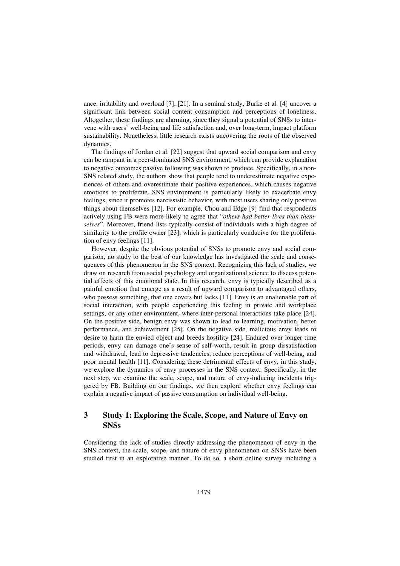ance, irritability and overload [7], [21]. In a seminal study, Burke et al. [4] uncover a significant link between social content consumption and perceptions of loneliness. Altogether, these findings are alarming, since they signal a potential of SNSs to intervene with users' well-being and life satisfaction and, over long-term, impact platform sustainability. Nonetheless, little research exists uncovering the roots of the observed dynamics.

The findings of Jordan et al. [22] suggest that upward social comparison and envy can be rampant in a peer-dominated SNS environment, which can provide explanation to negative outcomes passive following was shown to produce. Specifically, in a non-SNS related study, the authors show that people tend to underestimate negative experiences of others and overestimate their positive experiences, which causes negative emotions to proliferate. SNS environment is particularly likely to exacerbate envy feelings, since it promotes narcissistic behavior, with most users sharing only positive things about themselves [12]. For example, Chou and Edge [9] find that respondents actively using FB were more likely to agree that "*others had better lives than themselves*". Moreover, friend lists typically consist of individuals with a high degree of similarity to the profile owner [23], which is particularly conducive for the proliferation of envy feelings [11].

However, despite the obvious potential of SNSs to promote envy and social comparison, no study to the best of our knowledge has investigated the scale and consequences of this phenomenon in the SNS context. Recognizing this lack of studies, we draw on research from social psychology and organizational science to discuss potential effects of this emotional state. In this research, envy is typically described as a painful emotion that emerge as a result of upward comparison to advantaged others, who possess something, that one covets but lacks [11]. Envy is an unalienable part of social interaction, with people experiencing this feeling in private and workplace settings, or any other environment, where inter-personal interactions take place [24]. On the positive side, benign envy was shown to lead to learning, motivation, better performance, and achievement [25]. On the negative side, malicious envy leads to desire to harm the envied object and breeds hostility [24]. Endured over longer time periods, envy can damage one's sense of self-worth, result in group dissatisfaction and withdrawal, lead to depressive tendencies, reduce perceptions of well-being, and poor mental health [11]. Considering these detrimental effects of envy, in this study, we explore the dynamics of envy processes in the SNS context. Specifically, in the next step, we examine the scale, scope, and nature of envy-inducing incidents triggered by FB. Building on our findings, we then explore whether envy feelings can explain a negative impact of passive consumption on individual well-being.

## **3 Study 1: Exploring the Scale, Scope, and Nature of Envy on SNSs**

Considering the lack of studies directly addressing the phenomenon of envy in the SNS context, the scale, scope, and nature of envy phenomenon on SNSs have been studied first in an explorative manner. To do so, a short online survey including a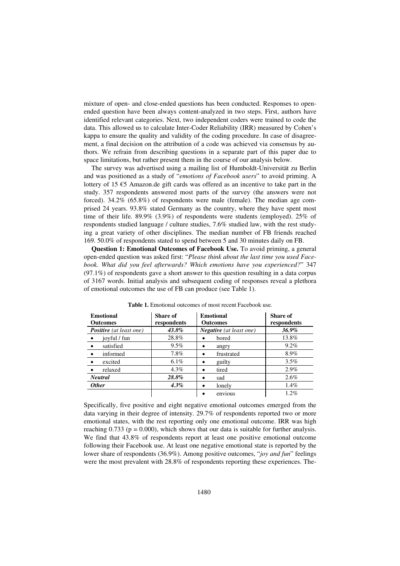mixture of open- and close-ended questions has been conducted. Responses to openended question have been always content-analyzed in two steps. First, authors have identified relevant categories. Next, two independent coders were trained to code the data. This allowed us to calculate Inter-Coder Reliability (IRR) measured by Cohen's kappa to ensure the quality and validity of the coding procedure. In case of disagreement, a final decision on the attribution of a code was achieved via consensus by authors. We refrain from describing questions in a separate part of this paper due to space limitations, but rather present them in the course of our analysis below.

The survey was advertised using a mailing list of Humboldt-Universität zu Berlin and was positioned as a study of "*emotions of Facebook users*" to avoid priming. A lottery of 15 €5 Amazon.de gift cards was offered as an incentive to take part in the study. 357 respondents answered most parts of the survey (the answers were not forced). 34.2% (65.8%) of respondents were male (female). The median age comprised 24 years. 93.8% stated Germany as the country, where they have spent most time of their life. 89.9% (3.9%) of respondents were students (employed). 25% of respondents studied language / culture studies, 7.6% studied law, with the rest studying a great variety of other disciplines. The median number of FB friends reached 169. 50.0% of respondents stated to spend between 5 and 30 minutes daily on FB.

**Question 1: Emotional Outcomes of Facebook Use.** To avoid priming, a general open-ended question was asked first: "*Please think about the last time you used Facebook. What did you feel afterwards? Which emotions have you experienced?*" 347 (97.1%) of respondents gave a short answer to this question resulting in a data corpus of 3167 words. Initial analysis and subsequent coding of responses reveal a plethora of emotional outcomes the use of FB can produce (see Table 1).

| <b>Emotional</b><br><b>Outcomes</b> | Share of<br>respondents | <b>Emotional</b><br><b>Outcomes</b> | <b>Share of</b><br>respondents<br>36.9% |  |
|-------------------------------------|-------------------------|-------------------------------------|-----------------------------------------|--|
| <b>Positive</b> (at least one)      | 43.8%                   | <b>Negative</b> (at least one)      |                                         |  |
| joyful / fun                        | 28.8%                   | bored                               | 13.8%                                   |  |
| satisfied                           | $9.5\%$                 | angry                               | $9.2\%$                                 |  |
| informed                            | 7.8%                    | frustrated<br>٠                     | 8.9%                                    |  |
| excited                             | $6.1\%$                 | guilty                              | 3.5%                                    |  |
| relaxed                             | $4.3\%$                 | tired<br>٠                          | 2.9%                                    |  |
| <b>Neutral</b>                      | 28.8%                   | sad<br>٠                            | 2.6%                                    |  |
| <b>Other</b>                        | $4.3\%$                 | lonely<br>٠                         | 1.4%                                    |  |
|                                     |                         | envious                             | $1.2\%$                                 |  |

**Table 1.** Emotional outcomes of most recent Facebook use.

Specifically, five positive and eight negative emotional outcomes emerged from the data varying in their degree of intensity. 29.7% of respondents reported two or more emotional states, with the rest reporting only one emotional outcome. IRR was high reaching  $0.733$  ( $p = 0.000$ ), which shows that our data is suitable for further analysis. We find that 43.8% of respondents report at least one positive emotional outcome following their Facebook use. At least one negative emotional state is reported by the lower share of respondents (36.9%). Among positive outcomes, "*joy and fun*" feelings were the most prevalent with 28.8% of respondents reporting these experiences. The-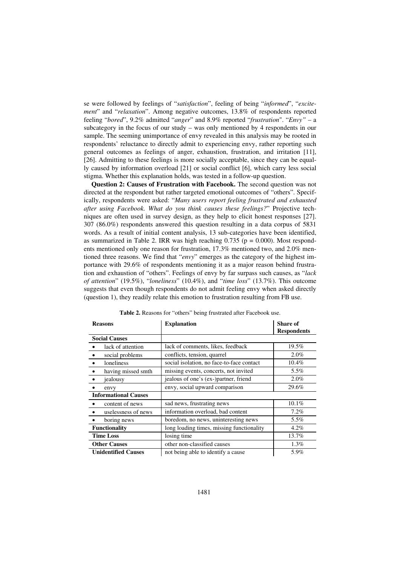se were followed by feelings of "*satisfaction*", feeling of being "*informed*", "*excitement*" and "*relaxation*". Among negative outcomes, 13.8% of respondents reported feeling "*bored*", 9.2% admitted "*anger*" and 8.9% reported "*frustration*". "*Envy"* – a subcategory in the focus of our study – was only mentioned by 4 respondents in our sample. The seeming unimportance of envy revealed in this analysis may be rooted in respondents' reluctance to directly admit to experiencing envy, rather reporting such general outcomes as feelings of anger, exhaustion, frustration, and irritation [11], [26]. Admitting to these feelings is more socially acceptable, since they can be equally caused by information overload [21] or social conflict [6], which carry less social stigma. Whether this explanation holds, was tested in a follow-up question.

**Question 2: Causes of Frustration with Facebook.** The second question was not directed at the respondent but rather targeted emotional outcomes of "others". Specifically, respondents were asked: "*Many users report feeling frustrated and exhausted after using Facebook. What do you think causes these feelings?*" Projective techniques are often used in survey design, as they help to elicit honest responses [27]. 307 (86.0%) respondents answered this question resulting in a data corpus of 5831 words. As a result of initial content analysis, 13 sub-categories have been identified, as summarized in Table 2. IRR was high reaching  $0.735$  ( $p = 0.000$ ). Most respondents mentioned only one reason for frustration, 17.3% mentioned two, and 2.0% mentioned three reasons. We find that "*envy*" emerges as the category of the highest importance with 29.6% of respondents mentioning it as a major reason behind frustration and exhaustion of "others". Feelings of envy by far surpass such causes, as "*lack of attention*" (19.5%), "*loneliness*" (10.4%), and "*time loss*" (13.7%). This outcome suggests that even though respondents do not admit feeling envy when asked directly (question 1), they readily relate this emotion to frustration resulting from FB use.

| <b>Reasons</b>              | <b>Explanation</b>                        | <b>Share of</b>    |
|-----------------------------|-------------------------------------------|--------------------|
|                             |                                           | <b>Respondents</b> |
| <b>Social Causes</b>        |                                           |                    |
| lack of attention           | lack of comments, likes, feedback         | 19.5%              |
| social problems             | conflicts, tension, quarrel               | 2.0%               |
| loneliness                  | social isolation, no face-to-face contact | 10.4%              |
| having missed smth          | missing events, concerts, not invited     | 5.5%               |
| jealousy                    | jealous of one's (ex-)partner, friend     | 2.0%               |
| envy                        | envy, social upward comparison            | 29.6%              |
| <b>Informational Causes</b> |                                           |                    |
| content of news             | sad news, frustrating news                | $10.1\%$           |
| uselessness of news         | information overload, bad content         | 7.2%               |
| boring news                 | boredom, no news, uninteresting news      | 5.5%               |
| <b>Functionality</b>        | long loading times, missing functionality | 4.2%               |
| <b>Time Loss</b>            | losing time                               | 13.7%              |
| <b>Other Causes</b>         | other non-classified causes               | 1.3%               |
| <b>Unidentified Causes</b>  | not being able to identify a cause        | 5.9%               |

**Table 2.** Reasons for "others" being frustrated after Facebook use.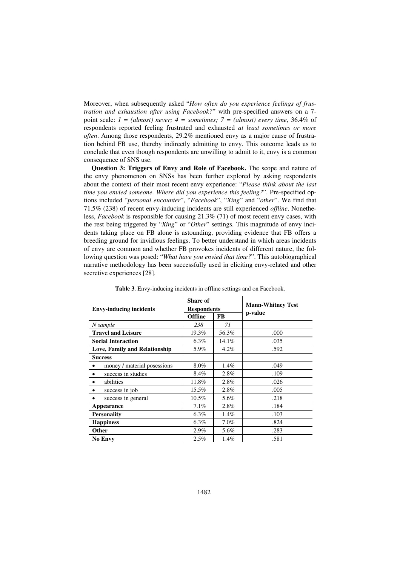Moreover, when subsequently asked "*How often do you experience feelings of frustration and exhaustion after using Facebook?*" with pre-specified answers on a 7 point scale: *1 = (almost) never; 4 = sometimes; 7 = (almost) every time*, 36.4% of respondents reported feeling frustrated and exhausted *at least sometimes or more often*. Among those respondents, 29.2% mentioned envy as a major cause of frustration behind FB use, thereby indirectly admitting to envy. This outcome leads us to conclude that even though respondents are unwilling to admit to it, envy is a common consequence of SNS use.

**Question 3: Triggers of Envy and Role of Facebook.** The scope and nature of the envy phenomenon on SNSs has been further explored by asking respondents about the context of their most recent envy experience: "*Please think about the last time you envied someone. Where did you experience this feeling?*". Pre-specified options included "*personal encounter*", "*Facebook*", "*Xing*" and "*other*". We find that 71.5% (238) of recent envy-inducing incidents are still experienced *offline*. Nonetheless, *Facebook* is responsible for causing 21.3% (71) of most recent envy cases, with the rest being triggered by "*Xing*" or "*Other*" settings. This magnitude of envy incidents taking place on FB alone is astounding, providing evidence that FB offers a breeding ground for invidious feelings. To better understand in which areas incidents of envy are common and whether FB provokes incidents of different nature, the following question was posed: "*What have you envied that time?*". This autobiographical narrative methodology has been successfully used in eliciting envy-related and other secretive experiences [28].

| <b>Envy-inducing incidents</b>           | <b>Share of</b><br><b>Respondents</b> |           | <b>Mann-Whitney Test</b> |  |
|------------------------------------------|---------------------------------------|-----------|--------------------------|--|
|                                          | <b>Offline</b>                        | <b>FB</b> | p-value                  |  |
| N sample                                 | 238                                   | 71        |                          |  |
| <b>Travel and Leisure</b>                | 19.3%                                 | 56.3%     | .000                     |  |
| <b>Social Interaction</b>                | $6.3\%$                               | 14.1%     | .035                     |  |
| <b>Love, Family and Relationship</b>     | 5.9%                                  | 4.2%      | .592                     |  |
| <b>Success</b>                           |                                       |           |                          |  |
| money / material posessions<br>$\bullet$ | $8.0\%$                               | 1.4%      | .049                     |  |
| success in studies                       | 8.4%                                  | 2.8%      | .109                     |  |
| abilities                                | 11.8%                                 | 2.8%      | .026                     |  |
| success in job                           | 15.5%                                 | 2.8%      | .005                     |  |
| success in general                       | $10.5\%$                              | 5.6%      | .218                     |  |
| Appearance                               | 7.1%                                  | 2.8%      | .184                     |  |
| <b>Personality</b>                       | $6.3\%$                               | 1.4%      | .103                     |  |
| <b>Happiness</b>                         | $6.3\%$                               | 7.0%      | .824                     |  |
| Other                                    | 2.9%                                  | 5.6%      | .283                     |  |
| <b>No Envy</b>                           | 2.5%                                  | 1.4%      | .581                     |  |

**Table 3**. Envy-inducing incidents in offline settings and on Facebook.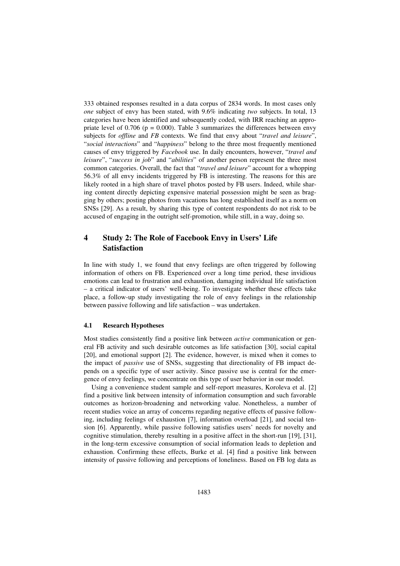333 obtained responses resulted in a data corpus of 2834 words. In most cases only *one* subject of envy has been stated, with 9.6% indicating *two* subjects. In total, 13 categories have been identified and subsequently coded, with IRR reaching an appropriate level of  $0.706$  ( $p = 0.000$ ). Table 3 summarizes the differences between envy subjects for *offline* and *FB* contexts. We find that envy about "*travel and leisure*", "*social interactions*" and "*happiness*" belong to the three most frequently mentioned causes of envy triggered by *Facebook* use. In daily encounters, however, "*travel and leisure*", "*success in job*" and "*abilities*" of another person represent the three most common categories. Overall, the fact that "*travel and leisure*" account for a whopping 56.3% of all envy incidents triggered by FB is interesting. The reasons for this are likely rooted in a high share of travel photos posted by FB users. Indeed, while sharing content directly depicting expensive material possession might be seen as bragging by others; posting photos from vacations has long established itself as a norm on SNSs [29]. As a result, by sharing this type of content respondents do not risk to be accused of engaging in the outright self-promotion, while still, in a way, doing so.

## **4 Study 2: The Role of Facebook Envy in Users' Life Satisfaction**

In line with study 1, we found that envy feelings are often triggered by following information of others on FB. Experienced over a long time period, these invidious emotions can lead to frustration and exhaustion, damaging individual life satisfaction – a critical indicator of users' well-being. To investigate whether these effects take place, a follow-up study investigating the role of envy feelings in the relationship between passive following and life satisfaction – was undertaken.

#### **4.1 Research Hypotheses**

Most studies consistently find a positive link between *active* communication or general FB activity and such desirable outcomes as life satisfaction [30], social capital [20], and emotional support [2]. The evidence, however, is mixed when it comes to the impact of *passive* use of SNSs, suggesting that directionality of FB impact depends on a specific type of user activity. Since passive use is central for the emergence of envy feelings, we concentrate on this type of user behavior in our model.

Using a convenience student sample and self-report measures, Koroleva et al. [2] find a positive link between intensity of information consumption and such favorable outcomes as horizon-broadening and networking value. Nonetheless, a number of recent studies voice an array of concerns regarding negative effects of passive following, including feelings of exhaustion [7], information overload [21], and social tension [6]. Apparently, while passive following satisfies users' needs for novelty and cognitive stimulation, thereby resulting in a positive affect in the short-run [19], [31], in the long-term excessive consumption of social information leads to depletion and exhaustion. Confirming these effects, Burke et al. [4] find a positive link between intensity of passive following and perceptions of loneliness. Based on FB log data as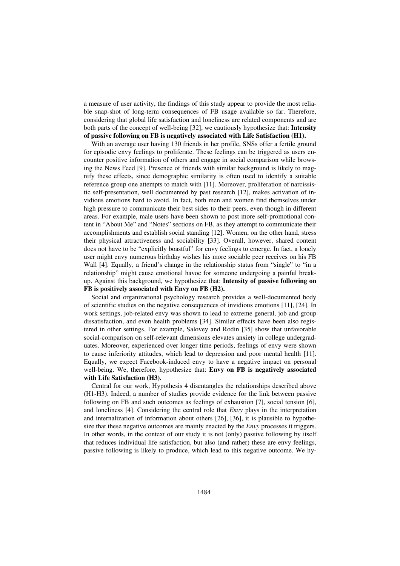a measure of user activity, the findings of this study appear to provide the most reliable snap-shot of long-term consequences of FB usage available so far. Therefore, considering that global life satisfaction and loneliness are related components and are both parts of the concept of well-being [32], we cautiously hypothesize that: **Intensity of passive following on FB is negatively associated with Life Satisfaction (H1).**

With an average user having 130 friends in her profile, SNSs offer a fertile ground for episodic envy feelings to proliferate. These feelings can be triggered as users encounter positive information of others and engage in social comparison while browsing the News Feed [9]. Presence of friends with similar background is likely to magnify these effects, since demographic similarity is often used to identify a suitable reference group one attempts to match with [11]. Moreover, proliferation of narcissistic self-presentation, well documented by past research [12], makes activation of invidious emotions hard to avoid. In fact, both men and women find themselves under high pressure to communicate their best sides to their peers, even though in different areas. For example, male users have been shown to post more self-promotional content in "About Me" and "Notes" sections on FB, as they attempt to communicate their accomplishments and establish social standing [12]. Women, on the other hand, stress their physical attractiveness and sociability [33]. Overall, however, shared content does not have to be "explicitly boastful" for envy feelings to emerge. In fact, a lonely user might envy numerous birthday wishes his more sociable peer receives on his FB Wall [4]. Equally, a friend's change in the relationship status from "single" to "in a relationship" might cause emotional havoc for someone undergoing a painful breakup. Against this background, we hypothesize that: **Intensity of passive following on FB is positively associated with Envy on FB (H2).**

Social and organizational psychology research provides a well-documented body of scientific studies on the negative consequences of invidious emotions [11], [24]. In work settings, job-related envy was shown to lead to extreme general, job and group dissatisfaction, and even health problems [34]. Similar effects have been also registered in other settings. For example, Salovey and Rodin [35] show that unfavorable social-comparison on self-relevant dimensions elevates anxiety in college undergraduates. Moreover, experienced over longer time periods, feelings of envy were shown to cause inferiority attitudes, which lead to depression and poor mental health [11]. Equally, we expect Facebook-induced envy to have a negative impact on personal well-being. We, therefore, hypothesize that: **Envy on FB is negatively associated with Life Satisfaction (H3).**

Central for our work, Hypothesis 4 disentangles the relationships described above (H1-H3). Indeed, a number of studies provide evidence for the link between passive following on FB and such outcomes as feelings of exhaustion [7], social tension [6], and loneliness [4]. Considering the central role that *Envy* plays in the interpretation and internalization of information about others [26], [36], it is plausible to hypothesize that these negative outcomes are mainly enacted by the *Envy* processes it triggers. In other words, in the context of our study it is not (only) passive following by itself that reduces individual life satisfaction, but also (and rather) these are envy feelings, passive following is likely to produce, which lead to this negative outcome. We hy-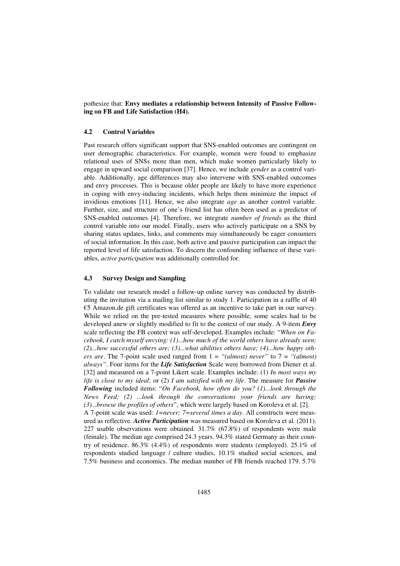pothesize that: **Envy mediates a relationship between Intensity of Passive Following on FB and Life Satisfaction (H4).** 

#### **4.2 Control Variables**

Past research offers significant support that SNS-enabled outcomes are contingent on user demographic characteristics. For example, women were found to emphasize relational uses of SNSs more than men, which make women particularly likely to engage in upward social comparison [37]. Hence, we include *gender* as a control variable. Additionally, age differences may also intervene with SNS-enabled outcomes and envy processes. This is because older people are likely to have more experience in coping with envy-inducing incidents, which helps them minimize the impact of invidious emotions [11]. Hence, we also integrate *age* as another control variable. Further, size, and structure of one's friend list has often been used as a predictor of SNS-enabled outcomes [4]. Therefore, we integrate *number of friends* as the third control variable into our model. Finally, users who actively participate on a SNS by sharing status updates, links, and comments may simultaneously be eager consumers of social information. In this case, both active and passive participation can impact the reported level of life satisfaction. To discern the confounding influence of these variables, *active participation* was additionally controlled for.

#### **4.3 Survey Design and Sampling**

To validate our research model a follow-up online survey was conducted by distributing the invitation via a mailing list similar to study 1. Participation in a raffle of 40  $\epsilon$ 5 Amazon.de gift certificates was offered as an incentive to take part in our survey. While we relied on the pre-tested measures where possible, some scales had to be developed anew or slightly modified to fit to the context of our study. A 9-item *Envy* scale reflecting the FB context was self-developed. Examples include: "*When on Facebook, I catch myself envying: (1)*...*how much of the world others have already seen; (2)...how successful others are; (3)...what abilities others have; (4)...how happy others are*. The 7-point scale used ranged from 1 = *"(almost) never"* to 7 = *"(almost) always"*. Four items for the *Life Satisfaction* Scale were borrowed from Diener et al. [32] and measured on a 7-point Likert scale. Examples include: (1) *In most ways my life is close to my ideal*; or (2) *I am satisfied with my life*. The measure for *Passive Following* included items: "*On Facebook, how often do you? (1)...look through the News Feed; (2) ...look through the conversations your friends are having; (3)...browse the profiles of others*", which were largely based on Koroleva et al. [2].

A 7-point scale was used: *1=never; 7=several times a day*. All constructs were measured as reflective. *Active Participation* was measured based on Koroleva et al. (2011). 227 usable observations were obtained. 31.7% (67.8%) of respondents were male (female). The median age comprised 24.3 years. 94.3% stated Germany as their country of residence. 86.3%  $(4.4\%)$  of respondents were students (employed). 25.1% of respondents studied language / culture studies, 10.1% studied social sciences, and 7.5% business and economics. The median number of FB friends reached 179. 5.7%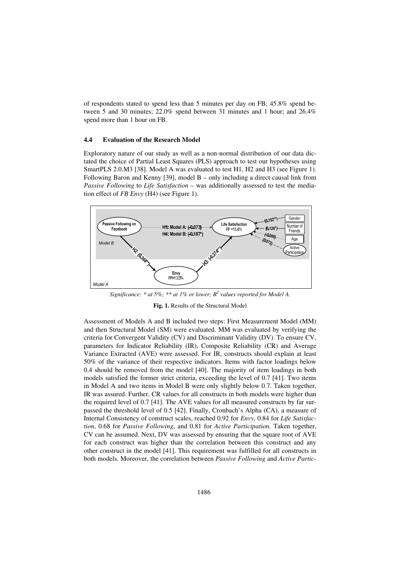of respondents stated to spend less than 5 minutes per day on FB; 45.8% spend between 5 and 30 minutes; 22.0% spend between 31 minutes and 1 hour; and 26.4% spend more than 1 hour on FB.

#### **4.4 Evaluation of the Research Model**

Exploratory nature of our study as well as a non-normal distribution of our data dictated the choice of Partial Least Squares (PLS) approach to test our hypotheses using SmartPLS 2.0.M3 [38]. Model A was evaluated to test H1, H2 and H3 (see Figure 1). Following Baron and Kenny [39], model B – only including a direct causal link from *Passive Following* to *Life Satisfaction –* was additionally assessed to test the mediation effect of *FB Envy* (H4) (see Figure 1).



*Significance: \* at 5%; \*\* at 1% or lower; R<sup>2</sup> values reported for Model A.* 

**Fig. 1.** Results of the Structural Model

Assessment of Models A and B included two steps: First Measurement Model (MM) and then Structural Model (SM) were evaluated. MM was evaluated by verifying the criteria for Convergent Validity (CV) and Discriminant Validity (DV). To ensure CV, parameters for Indicator Reliability (IR), Composite Reliability (CR) and Average Variance Extracted (AVE) were assessed. For IR, constructs should explain at least 50% of the variance of their respective indicators. Items with factor loadings below 0.4 should be removed from the model [40]. The majority of item loadings in both models satisfied the former strict criteria, exceeding the level of 0.7 [41]. Two items in Model A and two items in Model B were only slightly below 0.7. Taken together, IR was assured. Further, CR values for all constructs in both models were higher than the required level of 0.7 [41]. The AVE values for all measured constructs by far surpassed the threshold level of 0.5 [42]. Finally, Cronbach's Alpha (CA), a measure of Internal Consistency of construct scales, reached 0.92 for *Envy*, 0.84 for *Life Satisfaction*, 0.68 for *Passive Following,* and 0.81 for *Active Participation.* Taken together, CV can be assumed. Next, DV was assessed by ensuring that the square root of AVE for each construct was higher than the correlation between this construct and any other construct in the model [41]. This requirement was fulfilled for all constructs in both models. Moreover, the correlation between *Passive Following* and *Active Partic-*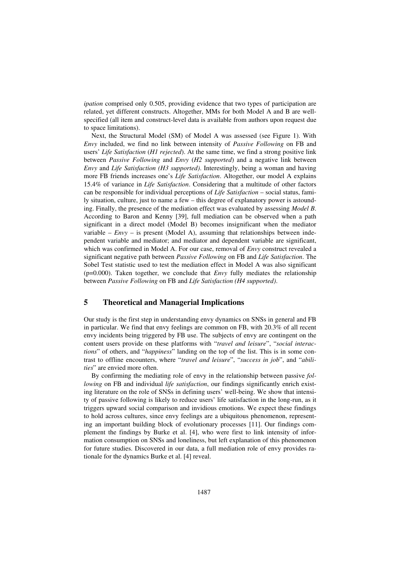*ipation* comprised only 0.505, providing evidence that two types of participation are related, yet different constructs. Altogether, MMs for both Model A and B are wellspecified (all item and construct-level data is available from authors upon request due to space limitations).

Next, the Structural Model (SM) of Model A was assessed (see Figure 1). With *Envy* included, we find no link between intensity of *Passive Following* on FB and users' *Life Satisfaction* (*H1 rejected*). At the same time, we find a strong positive link between *Passive Following* and *Envy* (*H2 supported*) and a negative link between *Envy* and *Life Satisfaction (H3 supported)*. Interestingly, being a woman and having more FB friends increases one's *Life Satisfaction*. Altogether, our model A explains 15.4% of variance in *Life Satisfaction*. Considering that a multitude of other factors can be responsible for individual perceptions of *Life Satisfaction* – social status, family situation, culture, just to name a few – this degree of explanatory power is astounding. Finally, the presence of the mediation effect was evaluated by assessing *Model B*. According to Baron and Kenny [39], full mediation can be observed when a path significant in a direct model (Model B) becomes insignificant when the mediator variable –  $Envy$  – is present (Model A), assuming that relationships between independent variable and mediator; and mediator and dependent variable are significant, which was confirmed in Model A. For our case, removal of *Envy* construct revealed a significant negative path between *Passive Following* on FB and *Life Satisfaction*. The Sobel Test statistic used to test the mediation effect in Model A was also significant (p=0.000). Taken together, we conclude that *Envy* fully mediates the relationship between *Passive Following* on FB and *Life Satisfaction (H4 supported)*.

## **5 Theoretical and Managerial Implications**

Our study is the first step in understanding envy dynamics on SNSs in general and FB in particular. We find that envy feelings are common on FB, with 20.3% of all recent envy incidents being triggered by FB use. The subjects of envy are contingent on the content users provide on these platforms with "*travel and leisure*", "*social interactions*" of others, and "*happiness*" landing on the top of the list. This is in some contrast to offline encounters, where "*travel and leisure*", "*success in job*", and "*abilities*" are envied more often.

By confirming the mediating role of envy in the relationship between passive *following* on FB and individual *life satisfaction*, our findings significantly enrich existing literature on the role of SNSs in defining users' well-being. We show that intensity of passive following is likely to reduce users' life satisfaction in the long-run, as it triggers upward social comparison and invidious emotions. We expect these findings to hold across cultures, since envy feelings are a ubiquitous phenomenon, representing an important building block of evolutionary processes [11]. Our findings complement the findings by Burke et al. [4], who were first to link intensity of information consumption on SNSs and loneliness, but left explanation of this phenomenon for future studies. Discovered in our data, a full mediation role of envy provides rationale for the dynamics Burke et al. [4] reveal.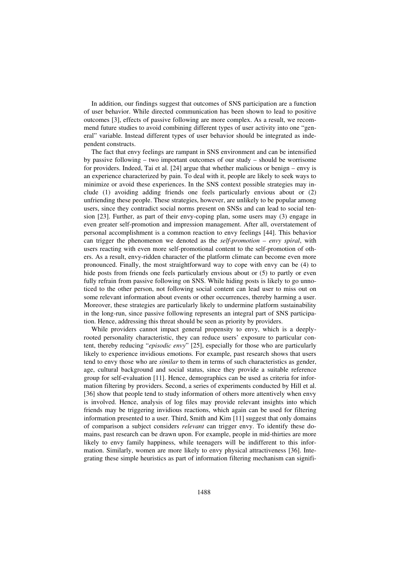In addition, our findings suggest that outcomes of SNS participation are a function of user behavior. While directed communication has been shown to lead to positive outcomes [3], effects of passive following are more complex. As a result, we recommend future studies to avoid combining different types of user activity into one "general" variable. Instead different types of user behavior should be integrated as independent constructs.

The fact that envy feelings are rampant in SNS environment and can be intensified by passive following – two important outcomes of our study – should be worrisome for providers. Indeed, Tai et al. [24] argue that whether malicious or benign – envy is an experience characterized by pain. To deal with it, people are likely to seek ways to minimize or avoid these experiences. In the SNS context possible strategies may include (1) avoiding adding friends one feels particularly envious about or (2) unfriending these people. These strategies, however, are unlikely to be popular among users, since they contradict social norms present on SNSs and can lead to social tension [23]. Further, as part of their envy-coping plan, some users may (3) engage in even greater self-promotion and impression management. After all, overstatement of personal accomplishment is a common reaction to envy feelings [44]. This behavior can trigger the phenomenon we denoted as the *self-promotion – envy spiral*, with users reacting with even more self-promotional content to the self-promotion of others. As a result, envy-ridden character of the platform climate can become even more pronounced. Finally, the most straightforward way to cope with envy can be (4) to hide posts from friends one feels particularly envious about or (5) to partly or even fully refrain from passive following on SNS. While hiding posts is likely to go unnoticed to the other person, not following social content can lead user to miss out on some relevant information about events or other occurrences, thereby harming a user. Moreover, these strategies are particularly likely to undermine platform sustainability in the long-run, since passive following represents an integral part of SNS participation. Hence, addressing this threat should be seen as priority by providers.

While providers cannot impact general propensity to envy, which is a deeplyrooted personality characteristic, they can reduce users' exposure to particular content, thereby reducing "*episodic envy*" [25], especially for those who are particularly likely to experience invidious emotions. For example, past research shows that users tend to envy those who are *similar* to them in terms of such characteristics as gender, age, cultural background and social status, since they provide a suitable reference group for self-evaluation [11]. Hence, demographics can be used as criteria for information filtering by providers. Second, a series of experiments conducted by Hill et al. [36] show that people tend to study information of others more attentively when envy is involved. Hence, analysis of log files may provide relevant insights into which friends may be triggering invidious reactions, which again can be used for filtering information presented to a user. Third, Smith and Kim [11] suggest that only domains of comparison a subject considers *relevant* can trigger envy. To identify these domains, past research can be drawn upon. For example, people in mid-thirties are more likely to envy family happiness, while teenagers will be indifferent to this information. Similarly, women are more likely to envy physical attractiveness [36]. Integrating these simple heuristics as part of information filtering mechanism can signifi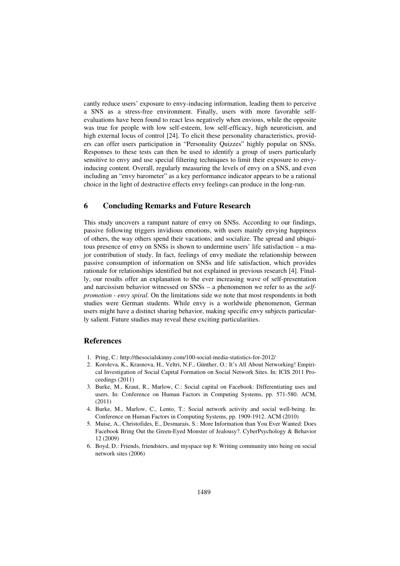cantly reduce users' exposure to envy-inducing information, leading them to perceive a SNS as a stress-free environment. Finally, users with more favorable selfevaluations have been found to react less negatively when envious, while the opposite was true for people with low self-esteem, low self-efficacy, high neuroticism, and high external locus of control [24]. To elicit these personality characteristics, providers can offer users participation in "Personality Quizzes" highly popular on SNSs. Responses to these tests can then be used to identify a group of users particularly sensitive to envy and use special filtering techniques to limit their exposure to envyinducing content. Overall, regularly measuring the levels of envy on a SNS, and even including an "envy barometer" as a key performance indicator appears to be a rational choice in the light of destructive effects envy feelings can produce in the long-run.

#### **6 Concluding Remarks and Future Research**

This study uncovers a rampant nature of envy on SNSs. According to our findings, passive following triggers invidious emotions, with users mainly envying happiness of others, the way others spend their vacations; and socialize. The spread and ubiquitous presence of envy on SNSs is shown to undermine users' life satisfaction – a major contribution of study. In fact, feelings of envy mediate the relationship between passive consumption of information on SNSs and life satisfaction, which provides rationale for relationships identified but not explained in previous research [4]. Finally, our results offer an explanation to the ever increasing wave of self-presentation and narcissism behavior witnessed on SNSs – a phenomenon we refer to as the *selfpromotion - envy spiral.* On the limitations side we note that most respondents in both studies were German students. While envy is a worldwide phenomenon, German users might have a distinct sharing behavior, making specific envy subjects particularly salient. Future studies may reveal these exciting particularities.

#### **References**

- 1. Pring, C.: http://thesocialskinny.com/100-social-media-statistics-for-2012/
- 2. Koroleva, K., Krasnova, H., Veltri, N.F., Günther, O.: It's All About Networking! Empirical Investigation of Social Capital Formation on Social Network Sites. In: ICIS 2011 Proceedings (2011)
- 3. Burke, M., Kraut, R., Marlow, C.: Social capital on Facebook: Differentiating uses and users. In: Conference on Human Factors in Computing Systems, pp. 571-580. ACM, (2011)
- 4. Burke, M., Marlow, C., Lento, T.: Social network activity and social well-being. In: Conference on Human Factors in Computing Systems, pp. 1909-1912. ACM (2010)
- 5. Muise, A., Christofides, E., Desmarais, S.: More Information than You Ever Wanted: Does Facebook Bring Out the Green-Eyed Monster of Jealousy?. CyberPsychology & Behavior 12 (2009)
- 6. Boyd, D.: Friends, friendsters, and myspace top 8: Writing community into being on social network sites (2006)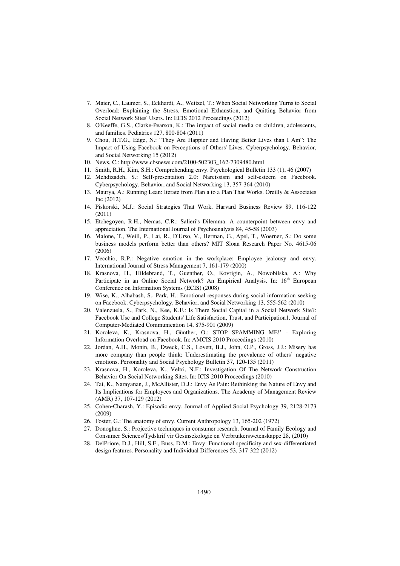- 7. Maier, C., Laumer, S., Eckhardt, A., Weitzel, T.: When Social Networking Turns to Social Overload: Explaining the Stress, Emotional Exhaustion, and Quitting Behavior from Social Network Sites' Users. In: ECIS 2012 Proceedings (2012)
- 8. O'Keeffe, G.S., Clarke-Pearson, K.: The impact of social media on children, adolescents, and families. Pediatrics 127, 800-804 (2011)
- 9. Chou, H.T.G., Edge, N.: "They Are Happier and Having Better Lives than I Am": The Impact of Using Facebook on Perceptions of Others' Lives. Cyberpsychology, Behavior, and Social Networking 15 (2012)
- 10. News, C.: http://www.cbsnews.com/2100-502303\_162-7309480.html
- 11. Smith, R.H., Kim, S.H.: Comprehending envy. Psychological Bulletin 133 (1), 46 (2007)
- 12. Mehdizadeh, S.: Self-presentation 2.0: Narcissism and self-esteem on Facebook. Cyberpsychology, Behavior, and Social Networking 13, 357-364 (2010)
- 13. Maurya, A.: Running Lean: Iterate from Plan a to a Plan That Works. Oreilly & Associates Inc (2012)
- 14. Piskorski, M.J.: Social Strategies That Work. Harvard Business Review 89, 116-122 (2011)
- 15. Etchegoyen, R.H., Nemas, C.R.: Salieri's Dilemma: A counterpoint between envy and appreciation. The International Journal of Psychoanalysis 84, 45-58 (2003)
- 16. Malone, T., Weill, P., Lai, R., D'Urso, V., Herman, G., Apel, T., Woerner, S.: Do some business models perform better than others? MIT Sloan Research Paper No. 4615-06 (2006)
- 17. Vecchio, R.P.: Negative emotion in the workplace: Employee jealousy and envy. International Journal of Stress Management 7, 161-179 (2000)
- 18. Krasnova, H., Hildebrand, T., Guenther, O., Kovrigin, A., Nowobilska, A.: Why Participate in an Online Social Network? An Empirical Analysis. In: 16<sup>th</sup> European Conference on Information Systems (ECIS) (2008)
- 19. Wise, K., Alhabash, S., Park, H.: Emotional responses during social information seeking on Facebook. Cyberpsychology, Behavior, and Social Networking 13, 555-562 (2010)
- 20. Valenzuela, S., Park, N., Kee, K.F.: Is There Social Capital in a Social Network Site?: Facebook Use and College Students' Life Satisfaction, Trust, and Participation1. Journal of Computer-Mediated Communication 14, 875-901 (2009)
- 21. Koroleva, K., Krasnova, H., Günther, O.: STOP SPAMMING ME!' Exploring Information Overload on Facebook. In: AMCIS 2010 Proceedings (2010)
- 22. Jordan, A.H., Monin, B., Dweck, C.S., Lovett, B.J., John, O.P., Gross, J.J.: Misery has more company than people think: Underestimating the prevalence of others' negative emotions. Personality and Social Psychology Bulletin 37, 120-135 (2011)
- 23. Krasnova, H., Koroleva, K., Veltri, N.F.: Investigation Of The Network Construction Behavior On Social Networking Sites. In: ICIS 2010 Proceedings (2010)
- 24. Tai, K., Narayanan, J., McAllister, D.J.: Envy As Pain: Rethinking the Nature of Envy and Its Implications for Employees and Organizations. The Academy of Management Review (AMR) 37, 107-129 (2012)
- 25. Cohen-Charash, Y.: Episodic envy. Journal of Applied Social Psychology 39, 2128-2173 (2009)
- 26. Foster, G.: The anatomy of envy. Current Anthropology 13, 165-202 (1972)
- 27. Donoghue, S.: Projective techniques in consumer research. Journal of Family Ecology and Consumer Sciences/Tydskrif vir Gesinsekologie en Verbruikerswetenskappe 28, (2010)
- 28. DelPriore, D.J., Hill, S.E., Buss, D.M.: Envy: Functional specificity and sex-differentiated design features. Personality and Individual Differences 53, 317-322 (2012)